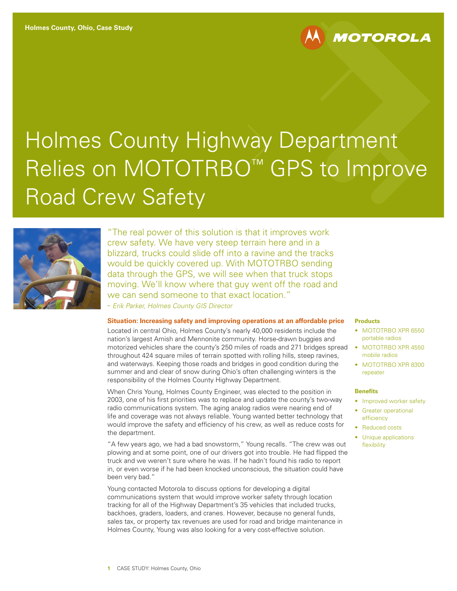# Holmes County Highway Department Relies on MOTOTRBO™ GPS to Improve Road Crew Safety



"The real power of this solution is that it improves work crew safety. We have very steep terrain here and in a blizzard, trucks could slide off into a ravine and the tracks would be quickly covered up. With MOTOTRBO sending data through the GPS, we will see when that truck stops moving. We'll know where that guy went off the road and we can send someone to that exact location." - *Erik Parker, Holmes County GIS Director*

## **Situation: Increasing safety and improving operations at an affordable price**

Located in central Ohio, Holmes County's nearly 40,000 residents include the nation's largest Amish and Mennonite community. Horse-drawn buggies and motorized vehicles share the county's 250 miles of roads and 271 bridges spread throughout 424 square miles of terrain spotted with rolling hills, steep ravines, and waterways. Keeping those roads and bridges in good condition during the summer and and clear of snow during Ohio's often challenging winters is the responsibility of the Holmes County Highway Department.

When Chris Young, Holmes County Engineer, was elected to the position in 2003, one of his first priorities was to replace and update the county's two-way radio communications system. The aging analog radios were nearing end of life and coverage was not always reliable. Young wanted better technology that would improve the safety and efficiency of his crew, as well as reduce costs for the department.

"A few years ago, we had a bad snowstorm," Young recalls. "The crew was out plowing and at some point, one of our drivers got into trouble. He had flipped the truck and we weren't sure where he was. If he hadn't found his radio to report in, or even worse if he had been knocked unconscious, the situation could have been very bad."

Young contacted Motorola to discuss options for developing a digital communications system that would improve worker safety through location tracking for all of the Highway Department's 35 vehicles that included trucks, backhoes, graders, loaders, and cranes. However, because no general funds, sales tax, or property tax revenues are used for road and bridge maintenance in Holmes County, Young was also looking for a very cost-effective solution.

#### **Products**

• MOTOTRBO XPR 6550 portable radios

**MOTOROLA** 

- MOTOTRBO XPR 4550 mobile radios
- MOTOTRBO XPR 8300 repeater

#### **Benefits**

- Improved worker safety
- Greater operational efficiency
- Reduced costs
- Unique applications flexibility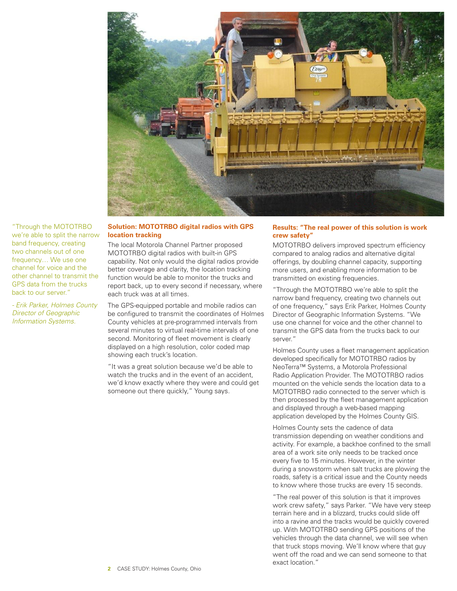

"Through the MOTOTRBO we're able to split the narrow band frequency, creating two channels out of one frequency… We use one channel for voice and the other channel to transmit the GPS data from the trucks back to our server.'

*- Erik Parker, Holmes County Director of Geographic Information Systems.*

## **Solution: MOTOTRBO digital radios with GPS location tracking**

The local Motorola Channel Partner proposed MOTOTRBO digital radios with built-in GPS capability. Not only would the digital radios provide better coverage and clarity, the location tracking function would be able to monitor the trucks and report back, up to every second if necessary, where each truck was at all times.

The GPS-equipped portable and mobile radios can be configured to transmit the coordinates of Holmes County vehicles at pre-programmed intervals from several minutes to virtual real-time intervals of one second. Monitoring of fleet movement is clearly displayed on a high resolution, color coded map showing each truck's location.

"It was a great solution because we'd be able to watch the trucks and in the event of an accident, we'd know exactly where they were and could get someone out there quickly," Young says.

## **Results: "The real power of this solution is work crew safety"**

MOTOTRBO delivers improved spectrum efficiency compared to analog radios and alternative digital offerings, by doubling channel capacity, supporting more users, and enabling more information to be transmitted on existing frequencies.

"Through the MOTOTRBO we're able to split the narrow band frequency, creating two channels out of one frequency," says Erik Parker, Holmes County Director of Geographic Information Systems. "We use one channel for voice and the other channel to transmit the GPS data from the trucks back to our server."

Holmes County uses a fleet management application developed specifically for MOTOTRBO radios by NeoTerra™ Systems, a Motorola Professional Radio Application Provider. The MOTOTRBO radios mounted on the vehicle sends the location data to a MOTOTRBO radio connected to the server which is then processed by the fleet management application and displayed through a web-based mapping application developed by the Holmes County GIS.

Holmes County sets the cadence of data transmission depending on weather conditions and activity. For example, a backhoe confined to the small area of a work site only needs to be tracked once every five to 15 minutes. However, in the winter during a snowstorm when salt trucks are plowing the roads, safety is a critical issue and the County needs to know where those trucks are every 15 seconds.

"The real power of this solution is that it improves work crew safety," says Parker. "We have very steep terrain here and in a blizzard, trucks could slide off into a ravine and the tracks would be quickly covered up. With MOTOTRBO sending GPS positions of the vehicles through the data channel, we will see when that truck stops moving. We'll know where that guy went off the road and we can send someone to that exact location."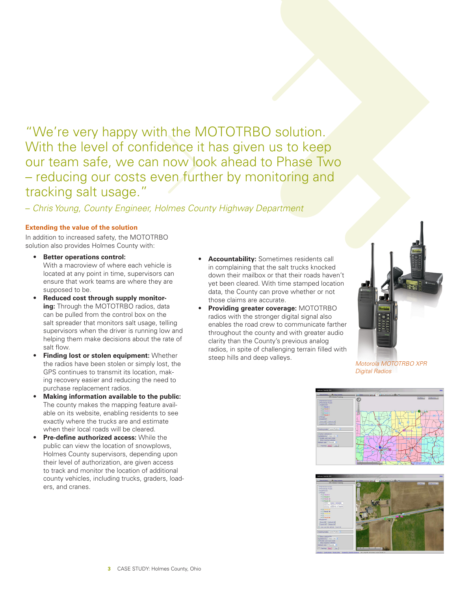"We're very happy with the MOTOTRBO solution. With the level of confidence it has given us to keep our team safe, we can now look ahead to Phase Two – reducing our costs even further by monitoring and tracking salt usage."

– *Chris Young, County Engineer, Holmes County Highway Department*

# **Extending the value of the solution**

In addition to increased safety, the MOTOTRBO solution also provides Holmes County with:

- **• Better operations control:**  With a macroview of where each vehicle is located at any point in time, supervisors can ensure that work teams are where they are supposed to be.
- **• Reduced cost through supply monitoring:** Through the MOTOTRBO radios, data can be pulled from the control box on the salt spreader that monitors salt usage, telling supervisors when the driver is running low and helping them make decisions about the rate of salt flow.
- **• Finding lost or stolen equipment:** Whether the radios have been stolen or simply lost, the GPS continues to transmit its location, making recovery easier and reducing the need to purchase replacement radios.
- **• Making information available to the public:** The county makes the mapping feature available on its website, enabling residents to see exactly where the trucks are and estimate when their local roads will be cleared.
- **• Pre-define authorized access:** While the public can view the location of snowplows, Holmes County supervisors, depending upon their level of authorization, are given access to track and monitor the location of additional county vehicles, including trucks, graders, loaders, and cranes.
- **• Accountability:** Sometimes residents call in complaining that the salt trucks knocked down their mailbox or that their roads haven't yet been cleared. With time stamped location data, the County can prove whether or not those claims are accurate.
- **• Providing greater coverage:** MOTOTRBO radios with the stronger digital signal also enables the road crew to communicate farther throughout the county and with greater audio clarity than the County's previous analog radios, in spite of challenging terrain filled with steep hills and deep valleys.



*Motorola MOTOTRBO XPR Digital Radios*